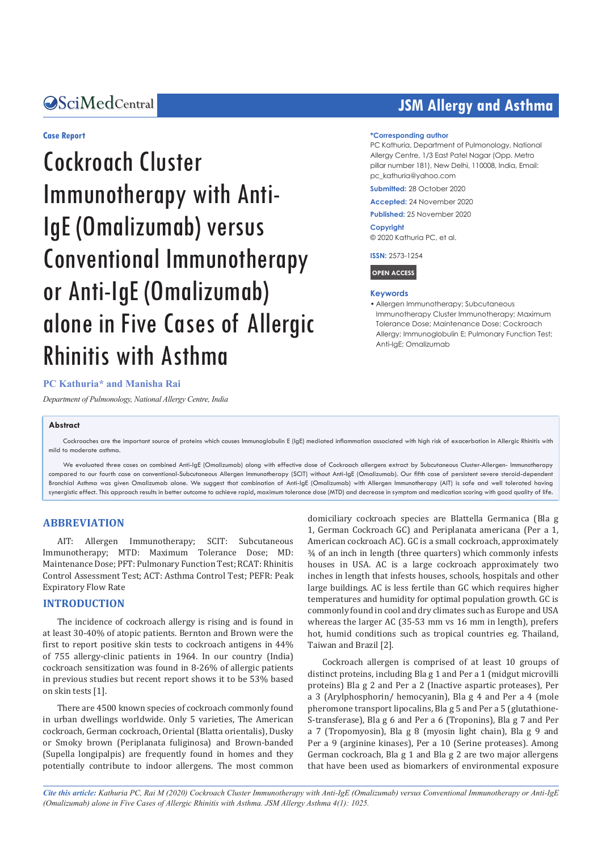#### **Case Report**

# Cockroach Cluster Immunotherapy with Anti-IgE (Omalizumab) versus Conventional Immunotherapy or Anti-IgE (Omalizumab) alone in Five Cases of Allergic Rhinitis with Asthma

## **OSciMedCentral Contract Contract Contract Contract Contract Contract Contract Contract Contract Contract Contract Contract Contract Contract Contract Contract Contract Contract Contract Contract Contract Contract Contract**

#### **\*Corresponding author**

PC Kathuria, Department of Pulmonology, National Allergy Centre, 1/3 East Patel Nagar (Opp. Metro pillar number 181), New Delhi, 110008, India, Email: pc\_kathuria@yahoo.com

**Submitted:** 28 October 2020

**Accepted:** 24 November 2020

**Published:** 25 November 2020

**Copyright** © 2020 Kathuria PC, et al.

**ISSN:** 2573-1254

**OPEN ACCESS**

#### **Keywords**

• Allergen Immunotherapy: Subcutaneous Immunotherapy Cluster Immunotherapy; Maximum Tolerance Dose; Maintenance Dose; Cockroach Allergy; Immunoglobulin E; Pulmonary Function Test; Anti-IgE; Omalizumab

#### **PC Kathuria\* and Manisha Rai**

*Department of Pulmonology, National Allergy Centre, India*

#### **Abstract**

Cockroaches are the important source of proteins which causes Immunoglobulin E (IgE) mediated inflammation associated with high risk of exacerbation in Allergic Rhinitis with mild to moderate asthma.

We evaluated three cases on combined Anti-IgE (Omalizumab) along with effective dose of Cockroach allergens extract by Subcutaneous Cluster-Allergen- Immunotherapy compared to our fourth case on conventional-Subcutaneous Allergen Immunotherapy (SCIT) without Anti-IgE (Omalizumab). Our fifth case of persistent severe steroid-dependent Bronchial Asthma was given Omalizumab alone. We suggest that combination of Anti-IgE (Omalizumab) with Allergen Immunotherapy (AIT) is safe and well tolerated having synergistic effect. This approach results in better outcome to achieve rapid, maximum tolerance dose (MTD) and decrease in symptom and medication scoring with good quality of life.

#### **ABBREVIATION**

AIT: Allergen Immunotherapy; SCIT: Subcutaneous Immunotherapy; MTD: Maximum Tolerance Dose; MD: Maintenance Dose; PFT: Pulmonary Function Test; RCAT: Rhinitis Control Assessment Test; ACT: Asthma Control Test; PEFR: Peak Expiratory Flow Rate

#### **INTRODUCTION**

The incidence of cockroach allergy is rising and is found in at least 30-40% of atopic patients. Bernton and Brown were the first to report positive skin tests to cockroach antigens in 44% of 755 allergy-clinic patients in 1964. In our country (India) cockroach sensitization was found in 8-26% of allergic patients in previous studies but recent report shows it to be 53% based on skin tests [1].

There are 4500 known species of cockroach commonly found in urban dwellings worldwide. Only 5 varieties, The American cockroach, German cockroach, Oriental (Blatta orientalis), Dusky or Smoky brown (Periplanata fuliginosa) and Brown-banded (Supella longipalpis) are frequently found in homes and they potentially contribute to indoor allergens. The most common domiciliary cockroach species are Blattella Germanica (Bla g 1, German Cockroach GC) and Periplanata americana (Per a 1, American cockroach AC). GC is a small cockroach, approximately ¾ of an inch in length (three quarters) which commonly infests houses in USA. AC is a large cockroach approximately two inches in length that infests houses, schools, hospitals and other large buildings. AC is less fertile than GC which requires higher temperatures and humidity for optimal population growth. GC is commonly found in cool and dry climates such as Europe and USA whereas the larger AC (35-53 mm vs 16 mm in length), prefers hot, humid conditions such as tropical countries eg. Thailand, Taiwan and Brazil [2].

Cockroach allergen is comprised of at least 10 groups of distinct proteins, including Bla g 1 and Per a 1 (midgut microvilli proteins) Bla g 2 and Per a 2 (Inactive aspartic proteases), Per a 3 (Arylphosphorin/ hemocyanin), Bla g 4 and Per a 4 (mole pheromone transport lipocalins, Bla g 5 and Per a 5 (glutathione-S-transferase), Bla g 6 and Per a 6 (Troponins), Bla g 7 and Per a 7 (Tropomyosin), Bla g 8 (myosin light chain), Bla g 9 and Per a 9 (arginine kinases), Per a 10 (Serine proteases). Among German cockroach, Bla g 1 and Bla g 2 are two major allergens that have been used as biomarkers of environmental exposure

*Cite this article: Kathuria PC, Rai M (2020) Cockroach Cluster Immunotherapy with Anti-IgE (Omalizumab) versus Conventional Immunotherapy or Anti-IgE (Omalizumab) alone in Five Cases of Allergic Rhinitis with Asthma. JSM Allergy Asthma 4(1): 1025.*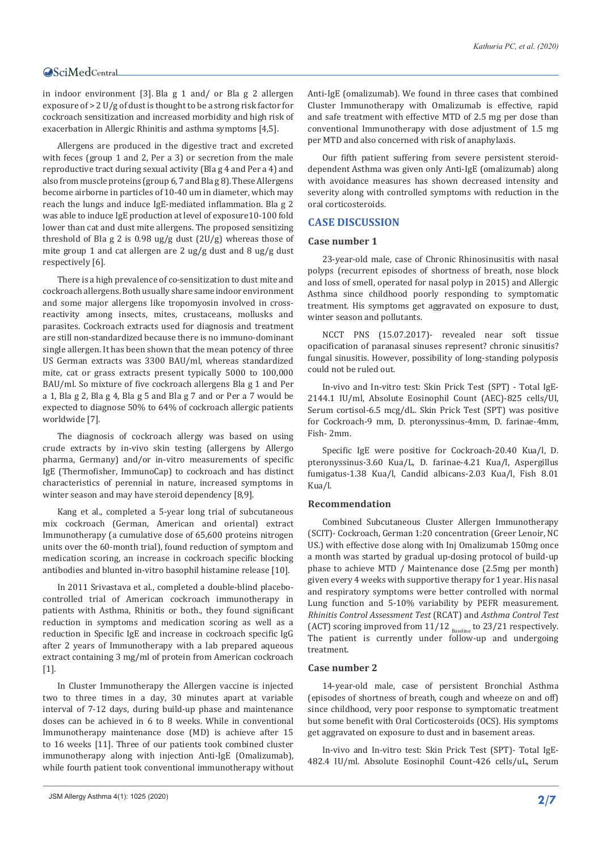in indoor environment [3]. Bla g 1 and/ or Bla g 2 allergen exposure of > 2 U/g of dust is thought to be a strong risk factor for cockroach sensitization and increased morbidity and high risk of exacerbation in Allergic Rhinitis and asthma symptoms [4,5].

Allergens are produced in the digestive tract and excreted with feces (group 1 and 2, Per a 3) or secretion from the male reproductive tract during sexual activity (Bla g 4 and Per a 4) and also from muscle proteins (group 6, 7 and Bla g 8). These Allergens become airborne in particles of 10-40 um in diameter, which may reach the lungs and induce IgE-mediated inflammation. Bla g 2 was able to induce IgE production at level of exposure10-100 fold lower than cat and dust mite allergens. The proposed sensitizing threshold of Bla g 2 is  $0.98 \text{ ug/g}$  dust  $(2U/g)$  whereas those of mite group 1 and cat allergen are 2 ug/g dust and 8 ug/g dust respectively [6].

There is a high prevalence of co-sensitization to dust mite and cockroach allergens. Both usually share same indoor environment and some major allergens like tropomyosin involved in crossreactivity among insects, mites, crustaceans, mollusks and parasites. Cockroach extracts used for diagnosis and treatment are still non-standardized because there is no immuno-dominant single allergen. It has been shown that the mean potency of three US German extracts was 3300 BAU/ml, whereas standardized mite, cat or grass extracts present typically 5000 to 100,000 BAU/ml. So mixture of five cockroach allergens Bla g 1 and Per a 1, Bla g 2, Bla g 4, Bla g 5 and Bla g 7 and or Per a 7 would be expected to diagnose 50% to 64% of cockroach allergic patients worldwide [7].

The diagnosis of cockroach allergy was based on using crude extracts by in-vivo skin testing (allergens by Allergo pharma, Germany) and/or in-vitro measurements of specific IgE (Thermofisher, ImmunoCap) to cockroach and has distinct characteristics of perennial in nature, increased symptoms in winter season and may have steroid dependency [8,9].

Kang et al., completed a 5-year long trial of subcutaneous mix cockroach (German, American and oriental) extract Immunotherapy (a cumulative dose of 65,600 proteins nitrogen units over the 60-month trial), found reduction of symptom and medication scoring, an increase in cockroach specific blocking antibodies and blunted in-vitro basophil histamine release [10].

In 2011 Srivastava et al., completed a double-blind placebocontrolled trial of American cockroach immunotherapy in patients with Asthma, Rhinitis or both., they found significant reduction in symptoms and medication scoring as well as a reduction in Specific IgE and increase in cockroach specific IgG after 2 years of Immunotherapy with a lab prepared aqueous extract containing 3 mg/ml of protein from American cockroach [1].

In Cluster Immunotherapy the Allergen vaccine is injected two to three times in a day, 30 minutes apart at variable interval of 7-12 days, during build-up phase and maintenance doses can be achieved in 6 to 8 weeks. While in conventional Immunotherapy maintenance dose (MD) is achieve after 15 to 16 weeks [11]. Three of our patients took combined cluster immunotherapy along with injection Anti-IgE (Omalizumab), while fourth patient took conventional immunotherapy without Anti-IgE (omalizumab). We found in three cases that combined Cluster Immunotherapy with Omalizumab is effective, rapid and safe treatment with effective MTD of 2.5 mg per dose than conventional Immunotherapy with dose adjustment of 1.5 mg per MTD and also concerned with risk of anaphylaxis.

Our fifth patient suffering from severe persistent steroiddependent Asthma was given only Anti-IgE (omalizumab) along with avoidance measures has shown decreased intensity and severity along with controlled symptoms with reduction in the oral corticosteroids.

#### **CASE DISCUSSION**

#### **Case number 1**

23-year-old male, case of Chronic Rhinosinusitis with nasal polyps (recurrent episodes of shortness of breath, nose block and loss of smell, operated for nasal polyp in 2015) and Allergic Asthma since childhood poorly responding to symptomatic treatment. His symptoms get aggravated on exposure to dust, winter season and pollutants.

NCCT PNS (15.07.2017)- revealed near soft tissue opacification of paranasal sinuses represent? chronic sinusitis? fungal sinusitis. However, possibility of long-standing polyposis could not be ruled out.

In-vivo and In-vitro test: Skin Prick Test (SPT) - Total IgE-2144.1 IU/ml, Absolute Eosinophil Count (AEC)-825 cells/Ul, Serum cortisol-6.5 mcg/dL. Skin Prick Test (SPT) was positive for Cockroach-9 mm, D. pteronyssinus-4mm, D. farinae-4mm, Fish- 2mm.

Specific IgE were positive for Cockroach-20.40 Kua/l, D. pteronyssinus-3.60 Kua/L, D. farinae-4.21 Kua/l, Aspergillus fumigatus-1.38 Kua/l, Candid albicans-2.03 Kua/l, Fish 8.01 Kua/l.

#### **Recommendation**

Combined Subcutaneous Cluster Allergen Immunotherapy (SCIT)- Cockroach, German 1:20 concentration (Greer Lenoir, NC US.) with effective dose along with Inj Omalizumab 150mg once a month was started by gradual up-dosing protocol of build-up phase to achieve MTD / Maintenance dose (2.5mg per month) given every 4 weeks with supportive therapy for 1 year. His nasal and respiratory symptoms were better controlled with normal Lung function and 5-10% variability by PEFR measurement. *Rhinitis Control Assessment Test* (RCAT) and *Asthma Control Test* (ACT) scoring improved from  $11/12$  Baseline to 23/21 respectively. The patient is currently under follow-up and undergoing treatment.

#### **Case number 2**

14-year-old male, case of persistent Bronchial Asthma (episodes of shortness of breath, cough and wheeze on and off) since childhood, very poor response to symptomatic treatment but some benefit with Oral Corticosteroids (OCS). His symptoms get aggravated on exposure to dust and in basement areas.

In-vivo and In-vitro test: Skin Prick Test (SPT)- Total IgE-482.4 IU/ml. Absolute Eosinophil Count-426 cells/uL, Serum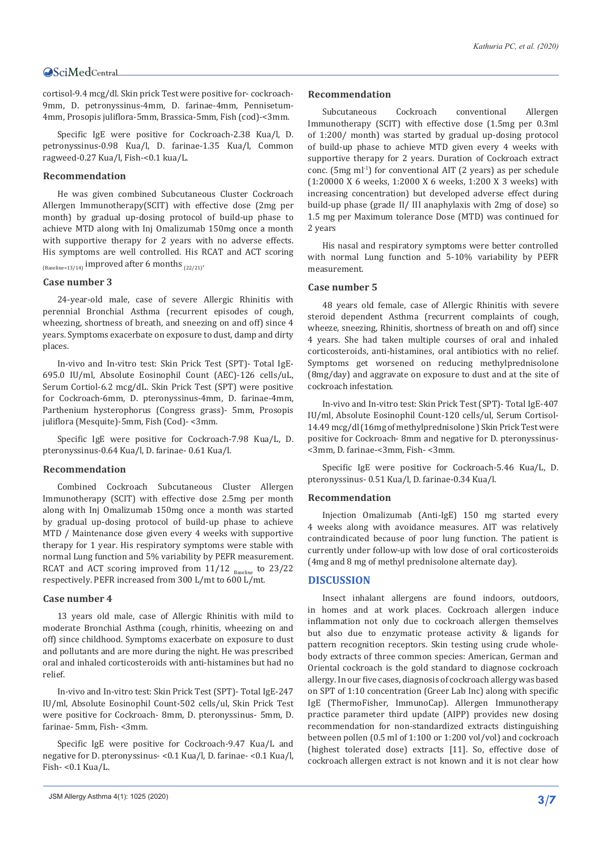cortisol-9.4 mcg/dl. Skin prick Test were positive for- cockroach-9mm, D. petronyssinus-4mm, D. farinae-4mm, Pennisetum-4mm, Prosopis juliflora-5mm, Brassica-5mm, Fish (cod)-<3mm.

Specific IgE were positive for Cockroach-2.38 Kua/l, D. petronyssinus-0.98 Kua/l, D. farinae-1.35 Kua/l, Common ragweed-0.27 Kua/l, Fish-<0.1 kua/L.

#### **Recommendation**

He was given combined Subcutaneous Cluster Cockroach Allergen Immunotherapy(SCIT) with effective dose (2mg per month) by gradual up-dosing protocol of build-up phase to achieve MTD along with Inj Omalizumab 150mg once a month with supportive therapy for 2 years with no adverse effects. His symptoms are well controlled. His RCAT and ACT scoring  $_{(Baseline=13/14)}$  improved after 6 months  $_{(22/21)}$ .

#### **Case number 3**

24-year-old male, case of severe Allergic Rhinitis with perennial Bronchial Asthma (recurrent episodes of cough, wheezing, shortness of breath, and sneezing on and off) since 4 years. Symptoms exacerbate on exposure to dust, damp and dirty places.

In-vivo and In-vitro test: Skin Prick Test (SPT)- Total IgE-695.0 IU/ml, Absolute Eosinophil Count (AEC)-126 cells/uL, Serum Cortiol-6.2 mcg/dL. Skin Prick Test (SPT) were positive for Cockroach-6mm, D. pteronyssinus-4mm, D. farinae-4mm, Parthenium hysterophorus (Congress grass)- 5mm, Prosopis juliflora (Mesquite)-5mm, Fish (Cod)- <3mm.

Specific IgE were positive for Cockroach-7.98 Kua/L, D. pteronyssinus-0.64 Kua/l, D. farinae- 0.61 Kua/l.

#### **Recommendation**

Combined Cockroach Subcutaneous Cluster Allergen Immunotherapy (SCIT) with effective dose 2.5mg per month along with Inj Omalizumab 150mg once a month was started by gradual up-dosing protocol of build-up phase to achieve MTD / Maintenance dose given every 4 weeks with supportive therapy for 1 year. His respiratory symptoms were stable with normal Lung function and 5% variability by PEFR measurement. RCAT and ACT scoring improved from  $11/12$  Baseline to  $23/22$ respectively. PEFR increased from 300 L/mt to 600 L/mt.

#### **Case number 4**

13 years old male, case of Allergic Rhinitis with mild to moderate Bronchial Asthma (cough, rhinitis, wheezing on and off) since childhood. Symptoms exacerbate on exposure to dust and pollutants and are more during the night. He was prescribed oral and inhaled corticosteroids with anti-histamines but had no relief.

In-vivo and In-vitro test: Skin Prick Test (SPT)- Total IgE-247 IU/ml, Absolute Eosinophil Count-502 cells/ul, Skin Prick Test were positive for Cockroach- 8mm, D. pteronyssinus- 5mm, D. farinae- 5mm, Fish- <3mm.

Specific IgE were positive for Cockroach-9.47 Kua/L and negative for D. pteronyssinus- <0.1 Kua/l, D. farinae- <0.1 Kua/l, Fish- <0.1 Kua/L.

#### **Recommendation**

Subcutaneous Cockroach conventional Allergen Immunotherapy (SCIT) with effective dose (1.5mg per 0.3ml of 1:200/ month) was started by gradual up-dosing protocol of build-up phase to achieve MTD given every 4 weeks with supportive therapy for 2 years. Duration of Cockroach extract conc. (5mg ml<sup>-1</sup>) for conventional AIT (2 years) as per schedule (1:20000 X 6 weeks, 1:2000 X 6 weeks, 1:200 X 3 weeks) with increasing concentration) but developed adverse effect during build-up phase (grade II/ III anaphylaxis with 2mg of dose) so 1.5 mg per Maximum tolerance Dose (MTD) was continued for 2 years

His nasal and respiratory symptoms were better controlled with normal Lung function and 5-10% variability by PEFR measurement.

#### **Case number 5**

48 years old female, case of Allergic Rhinitis with severe steroid dependent Asthma (recurrent complaints of cough, wheeze, sneezing, Rhinitis, shortness of breath on and off) since 4 years. She had taken multiple courses of oral and inhaled corticosteroids, anti-histamines, oral antibiotics with no relief. Symptoms get worsened on reducing methylprednisolone (8mg/day) and aggravate on exposure to dust and at the site of cockroach infestation.

In-vivo and In-vitro test: Skin Prick Test (SPT)- Total IgE-407 IU/ml, Absolute Eosinophil Count-120 cells/ul, Serum Cortisol-14.49 mcg/dl (16mg of methylprednisolone ) Skin Prick Test were positive for Cockroach- 8mm and negative for D. pteronyssinus- <3mm, D. farinae-<3mm, Fish- <3mm.

Specific IgE were positive for Cockroach-5.46 Kua/L, D. pteronyssinus- 0.51 Kua/l, D. farinae-0.34 Kua/l.

#### **Recommendation**

Injection Omalizumab (Anti-IgE) 150 mg started every 4 weeks along with avoidance measures. AIT was relatively contraindicated because of poor lung function. The patient is currently under follow-up with low dose of oral corticosteroids (4mg and 8 mg of methyl prednisolone alternate day).

#### **DISCUSSION**

Insect inhalant allergens are found indoors, outdoors, in homes and at work places. Cockroach allergen induce inflammation not only due to cockroach allergen themselves but also due to enzymatic protease activity & ligands for pattern recognition receptors. Skin testing using crude wholebody extracts of three common species: American, German and Oriental cockroach is the gold standard to diagnose cockroach allergy. In our five cases, diagnosis of cockroach allergy was based on SPT of 1:10 concentration (Greer Lab Inc) along with specific IgE (ThermoFisher, ImmunoCap). Allergen Immunotherapy practice parameter third update (AIPP) provides new dosing recommendation for non-standardized extracts distinguishing between pollen (0.5 ml of 1:100 or 1:200 vol/vol) and cockroach (highest tolerated dose) extracts [11]. So, effective dose of cockroach allergen extract is not known and it is not clear how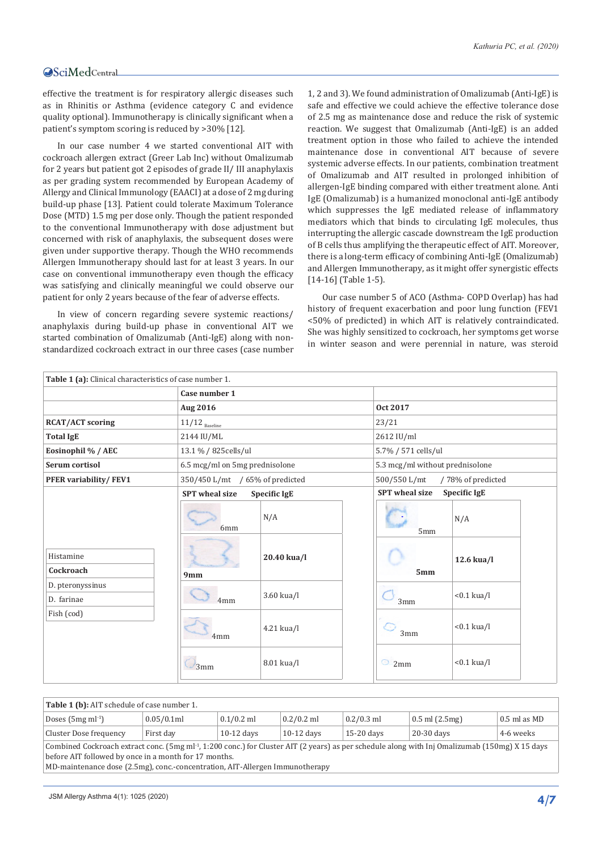effective the treatment is for respiratory allergic diseases such as in Rhinitis or Asthma (evidence category C and evidence quality optional). Immunotherapy is clinically significant when a patient's symptom scoring is reduced by >30% [12].

In our case number 4 we started conventional AIT with cockroach allergen extract (Greer Lab Inc) without Omalizumab for 2 years but patient got 2 episodes of grade II/ III anaphylaxis as per grading system recommended by European Academy of Allergy and Clinical Immunology (EAACI) at a dose of 2 mg during build-up phase [13]. Patient could tolerate Maximum Tolerance Dose (MTD) 1.5 mg per dose only. Though the patient responded to the conventional Immunotherapy with dose adjustment but concerned with risk of anaphylaxis, the subsequent doses were given under supportive therapy. Though the WHO recommends Allergen Immunotherapy should last for at least 3 years. In our case on conventional immunotherapy even though the efficacy was satisfying and clinically meaningful we could observe our patient for only 2 years because of the fear of adverse effects.

In view of concern regarding severe systemic reactions/ anaphylaxis during build-up phase in conventional AIT we started combination of Omalizumab (Anti-IgE) along with nonstandardized cockroach extract in our three cases (case number

1, 2 and 3). We found administration of Omalizumab (Anti-IgE) is safe and effective we could achieve the effective tolerance dose of 2.5 mg as maintenance dose and reduce the risk of systemic reaction. We suggest that Omalizumab (Anti-IgE) is an added treatment option in those who failed to achieve the intended maintenance dose in conventional AIT because of severe systemic adverse effects. In our patients, combination treatment of Omalizumab and AIT resulted in prolonged inhibition of allergen-IgE binding compared with either treatment alone. Anti IgE (Omalizumab) is a humanized monoclonal anti-IgE antibody which suppresses the IgE mediated release of inflammatory mediators which that binds to circulating IgE molecules, thus interrupting the allergic cascade downstream the IgE production of B cells thus amplifying the therapeutic effect of AIT. Moreover, there is a long-term efficacy of combining Anti-IgE (Omalizumab) and Allergen Immunotherapy, as it might offer synergistic effects [14-16] (Table 1-5).

Our case number 5 of ACO (Asthma- COPD Overlap) has had history of frequent exacerbation and poor lung function (FEV1 <50% of predicted) in which AIT is relatively contraindicated. She was highly sensitized to cockroach, her symptoms get worse in winter season and were perennial in nature, was steroid

| Table 1 (a): Clinical characteristics of case number 1.                |                                                                                  |                                                                                     |                                                               |                                                                                      |
|------------------------------------------------------------------------|----------------------------------------------------------------------------------|-------------------------------------------------------------------------------------|---------------------------------------------------------------|--------------------------------------------------------------------------------------|
|                                                                        | Case number 1                                                                    |                                                                                     |                                                               |                                                                                      |
|                                                                        | Aug 2016                                                                         |                                                                                     | Oct 2017                                                      |                                                                                      |
| <b>RCAT/ACT scoring</b>                                                | $11/12$ $_{\tiny{\rm Baseline}}$                                                 |                                                                                     | 23/21                                                         |                                                                                      |
| <b>Total IgE</b>                                                       | 2144 IU/ML                                                                       |                                                                                     | 2612 IU/ml                                                    |                                                                                      |
| Eosinophil % / AEC                                                     | 13.1 % / 825 cells/ul                                                            |                                                                                     | 5.7% / 571 cells/ul                                           |                                                                                      |
| Serum cortisol                                                         | 6.5 mcg/ml on 5mg prednisolone                                                   |                                                                                     | 5.3 mcg/ml without prednisolone                               |                                                                                      |
| PFER variability/FEV1                                                  | 350/450 L/mt / 65% of predicted                                                  |                                                                                     | 500/550 L/mt                                                  | /78% of predicted                                                                    |
| Histamine<br>Cockroach<br>D. pteronyssinus<br>D. farinae<br>Fish (cod) | <b>SPT</b> wheal size<br>6mm<br>9mm<br>4 <sub>mm</sub><br>4 <sub>mm</sub><br>3mm | <b>Specific IgE</b><br>N/A<br>20.40 kua/l<br>3.60 kua/l<br>4.21 kua/l<br>8.01 kua/l | <b>SPT</b> wheal size<br>5mm<br>5mm<br>3mm<br>3mm<br>⊙<br>2mm | Specific IgE<br>N/A<br>12.6 kua/l<br>$< 0.1$ kua/l<br>$< 0.1$ kua/l<br>$< 0.1$ kua/l |

| Table 1 (b): AIT schedule of case number 1.                                                                                                                                                                                                                                                                                                                                                                                                             |            |              |              |              |                     |                |  |  |
|---------------------------------------------------------------------------------------------------------------------------------------------------------------------------------------------------------------------------------------------------------------------------------------------------------------------------------------------------------------------------------------------------------------------------------------------------------|------------|--------------|--------------|--------------|---------------------|----------------|--|--|
| Doses $(5mg \, ml^{-1})$                                                                                                                                                                                                                                                                                                                                                                                                                                | 0.05/0.1ml | $0.1/0.2$ ml | $0.2/0.2$ ml | $0.2/0.3$ ml | $0.5$ ml $(2.5$ mg) | $0.5$ ml as MD |  |  |
| Cluster Dose frequency                                                                                                                                                                                                                                                                                                                                                                                                                                  | First day  | $10-12$ days | $10-12$ days | $15-20$ days | 20-30 days          | 4-6 weeks      |  |  |
| Combined Cockroach extract conc. (5mg ml <sup>-1</sup> , 1:200 conc.) for Cluster AIT (2 years) as per schedule along with Inj Omalizumab (150mg) X 15 days<br>before AIT followed by once in a month for 17 months.<br>$\sim$ . The second contract of the contract of the contract of the contract of the contract of the contract of the contract of the contract of the contract of the contract of the contract of the contract of the contract of |            |              |              |              |                     |                |  |  |

MD-maintenance dose (2.5mg), conc.-concentration, AIT-Allergen Immunotherapy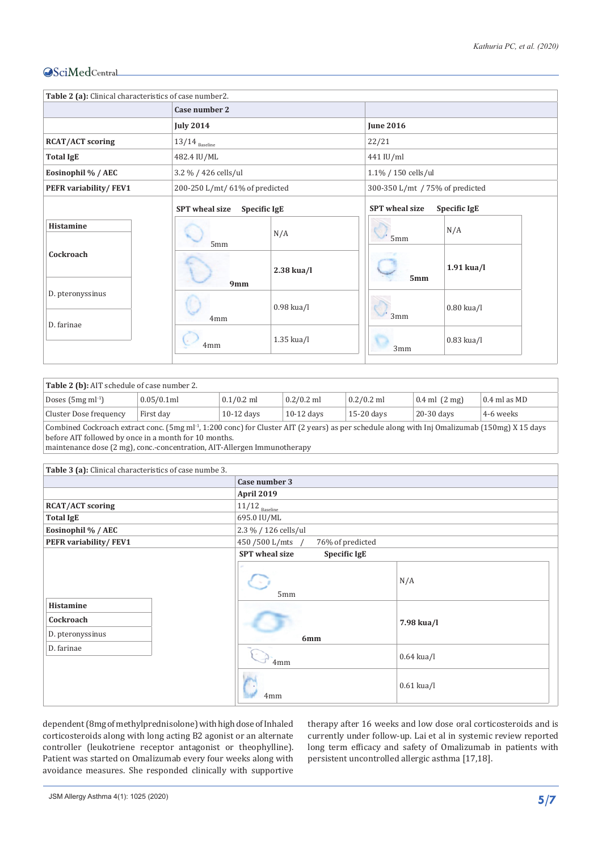| Table 2 (a): Clinical characteristics of case number2. |                                  |                                |                       |                                 |  |  |
|--------------------------------------------------------|----------------------------------|--------------------------------|-----------------------|---------------------------------|--|--|
|                                                        | Case number 2                    |                                |                       |                                 |  |  |
|                                                        | <b>July 2014</b>                 |                                | <b>June 2016</b>      |                                 |  |  |
| <b>RCAT/ACT scoring</b>                                | $13/14$ $_{\tiny{\rm Baseline}}$ |                                | 22/21                 |                                 |  |  |
| <b>Total IgE</b>                                       | 482.4 IU/ML                      |                                | 441 IU/ml             |                                 |  |  |
| Eosinophil % / AEC                                     | 3.2 % / 426 cells/ul             |                                | 1.1% / 150 cells/ul   |                                 |  |  |
| PEFR variability/FEV1                                  |                                  | 200-250 L/mt/ 61% of predicted |                       | 300-350 L/mt / 75% of predicted |  |  |
|                                                        | <b>SPT</b> wheal size            | <b>Specific IgE</b>            | <b>SPT</b> wheal size | <b>Specific IgE</b>             |  |  |
| Histamine                                              | 5mm                              | N/A                            | 5mm                   | N/A                             |  |  |
| Cockroach                                              | 9mm                              | $2.38$ kua/l                   | 5mm                   | $1.91$ kua/l                    |  |  |
| D. pteronyssinus<br>D. farinae                         | 4mm                              | $0.98$ kua/l                   | 3mm                   | $0.80$ kua/l                    |  |  |
|                                                        | 4 <sub>mm</sub>                  | $1.35$ kua/l                   | 3mm                   | $0.83$ kua/l                    |  |  |

| Table 2 (b): AIT schedule of case number 2.                                                                                                                |            |              |              |              |                           |                |  |  |
|------------------------------------------------------------------------------------------------------------------------------------------------------------|------------|--------------|--------------|--------------|---------------------------|----------------|--|--|
| Doses $(5mg \, ml^{-1})$                                                                                                                                   | 0.05/0.1ml | $0.1/0.2$ ml | $0.2/0.2$ ml | $0.2/0.2$ ml | $0.4$ ml $(2 \text{ mg})$ | $0.4$ ml as MD |  |  |
| Cluster Dose frequency                                                                                                                                     | First day  | $10-12$ days | $10-12$ days | $15-20$ days | $20-30$ days              | 4-6 weeks      |  |  |
| Combined Cockroach extract conc. (5mg ml <sup>-1</sup> , 1:200 conc) for Cluster AIT (2 years) as per schedule along with Inj Omalizumab (150mg) X 15 days |            |              |              |              |                           |                |  |  |
| before AIT followed by once in a month for 10 months.                                                                                                      |            |              |              |              |                           |                |  |  |
| $\mathbf{r}$ , and $\mathbf{r}$ , and $\mathbf{r}$ , and $\mathbf{r}$ , and $\mathbf{r}$ , and $\mathbf{r}$                                                |            |              |              |              |                           |                |  |  |

maintenance dose (2 mg), conc.-concentration, AIT-Allergen Immunotherapy

| Table 3 (a): Clinical characteristics of case numbe 3. |                                              |              |
|--------------------------------------------------------|----------------------------------------------|--------------|
|                                                        | Case number 3                                |              |
|                                                        | <b>April 2019</b>                            |              |
| <b>RCAT/ACT scoring</b>                                | $11/12$ Baseline                             |              |
| <b>Total IgE</b>                                       | 695.0 IU/ML                                  |              |
| Eosinophil % / AEC                                     | 2.3 % / 126 cells/ul                         |              |
| PEFR variability/FEV1                                  | 450/500 L/mts /<br>76% of predicted          |              |
|                                                        | <b>SPT</b> wheal size<br><b>Specific IgE</b> |              |
|                                                        | 5mm                                          | N/A          |
| Histamine<br>Cockroach<br>D. pteronyssinus             | 6mm                                          | 7.98 kua/l   |
| D. farinae                                             | 4mm                                          | $0.64$ kua/l |
|                                                        | 4mm                                          | $0.61$ kua/l |

dependent (8mg of methylprednisolone) with high dose of Inhaled corticosteroids along with long acting B2 agonist or an alternate controller (leukotriene receptor antagonist or theophylline). Patient was started on Omalizumab every four weeks along with avoidance measures. She responded clinically with supportive therapy after 16 weeks and low dose oral corticosteroids and is currently under follow-up. Lai et al in systemic review reported long term efficacy and safety of Omalizumab in patients with persistent uncontrolled allergic asthma [17,18].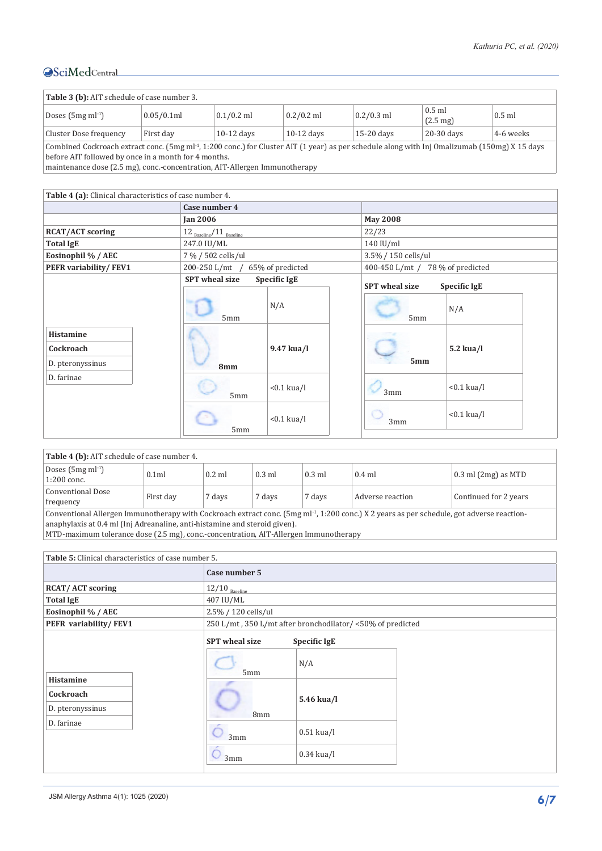| Table 3 (b): AIT schedule of case number 3.                                                                                                                                                                        |            |              |              |              |                                |           |  |
|--------------------------------------------------------------------------------------------------------------------------------------------------------------------------------------------------------------------|------------|--------------|--------------|--------------|--------------------------------|-----------|--|
| Doses $(5mg \, ml^{-1})$                                                                                                                                                                                           | 0.05/0.1ml | $0.1/0.2$ ml | $0.2/0.2$ ml | $0.2/0.3$ ml | $0.5$ ml<br>$(2.5 \text{ mg})$ | $0.5$ ml  |  |
| Cluster Dose frequency                                                                                                                                                                                             | First day  | $10-12$ days | $10-12$ days | $15-20$ days | 20-30 days                     | 4-6 weeks |  |
| Combined Cockroach extract conc. (5mg ml <sup>-1</sup> , 1:200 conc.) for Cluster AIT (1 year) as per schedule along with Inj Omalizumab (150mg) X 15 days<br>before AIT followed by once in a month for 4 months. |            |              |              |              |                                |           |  |

maintenance dose (2.5 mg), conc.-concentration, AIT-Allergen Immunotherapy

| Table 4 (a): Clinical characteristics of case number 4. |                                               |                     |                                  |                     |  |
|---------------------------------------------------------|-----------------------------------------------|---------------------|----------------------------------|---------------------|--|
|                                                         | Case number 4                                 |                     |                                  |                     |  |
|                                                         | <b>Jan 2006</b>                               |                     | <b>May 2008</b>                  |                     |  |
| <b>RCAT/ACT scoring</b>                                 | $12_{\text{ Baseline}}/11_{\text{ Baseline}}$ |                     | 22/23                            |                     |  |
| <b>Total IgE</b>                                        | 247.0 IU/ML                                   |                     | 140 IU/ml                        |                     |  |
| Eosinophil % / AEC                                      | 7 % / 502 cells/ul                            |                     | 3.5% / 150 cells/ul              |                     |  |
| PEFR variability/FEV1                                   | 200-250 L/mt /                                | 65% of predicted    | 400-450 L/mt / 78 % of predicted |                     |  |
|                                                         | <b>SPT</b> wheal size                         | <b>Specific IgE</b> | <b>SPT</b> wheal size            | <b>Specific IgE</b> |  |
|                                                         | 5mm                                           | N/A                 | 5mm                              | N/A                 |  |
| Histamine<br>Cockroach<br>D. pteronyssinus              | 8mm                                           | 9.47 kua/l          | 5mm                              | $5.2$ kua/l         |  |
| D. farinae                                              | 5mm                                           | $< 0.1$ kua/l       | 3mm                              | $< 0.1$ kua/l       |  |
|                                                         | 5mm                                           | $< 0.1$ kua/l       | 3mm                              | $< 0.1$ kua/l       |  |

| Table 4 (b): AIT schedule of case number 4. |                  |          |          |          |                  |                             |
|---------------------------------------------|------------------|----------|----------|----------|------------------|-----------------------------|
| Doses $(5mg \, ml^{-1})$<br>1:200 conc.     | 0.1 <sub>m</sub> | $0.2$ ml | $0.3$ ml | $0.3$ ml | $0.4$ ml         | $\vert$ 0.3 ml (2mg) as MTD |
| Conventional Dose<br>frequency              | First day        | 7 days   | 7 days   | 7 days   | Adverse reaction | Continued for 2 years       |
|                                             |                  |          |          |          |                  |                             |

Conventional Allergen Immunotherapy with Cockroach extract conc. (5mg ml-1, 1:200 conc.) X 2 years as per schedule, got adverse reactionanaphylaxis at 0.4 ml (Inj Adreanaline, anti-histamine and steroid given).

MTD-maximum tolerance dose (2.5 mg), conc.-concentration, AIT-Allergen Immunotherapy

| <b>Table 5:</b> Clinical characteristics of case number 5. |                                       |                                                            |  |  |  |  |
|------------------------------------------------------------|---------------------------------------|------------------------------------------------------------|--|--|--|--|
|                                                            | Case number 5                         |                                                            |  |  |  |  |
| <b>RCAT/ACT scoring</b>                                    | $12/10_{\rm\; Baseline}$              |                                                            |  |  |  |  |
| <b>Total IgE</b>                                           | 407 IU/ML                             |                                                            |  |  |  |  |
| Eosinophil % / AEC                                         | 2.5% / 120 cells/ul                   |                                                            |  |  |  |  |
| PEFR variability/FEV1                                      |                                       | 250 L/mt, 350 L/mt after bronchodilator/ <50% of predicted |  |  |  |  |
|                                                            | <b>SPT</b> wheal size<br>Specific IgE |                                                            |  |  |  |  |
|                                                            | 5mm                                   | N/A                                                        |  |  |  |  |
| Histamine<br>Cockroach<br>D. pteronyssinus                 | 8mm                                   | 5.46 kua/l                                                 |  |  |  |  |
| D. farinae                                                 | 3mm                                   | $0.51$ kua/l                                               |  |  |  |  |
|                                                            | 3mm                                   | $0.34$ kua/l                                               |  |  |  |  |
|                                                            |                                       |                                                            |  |  |  |  |